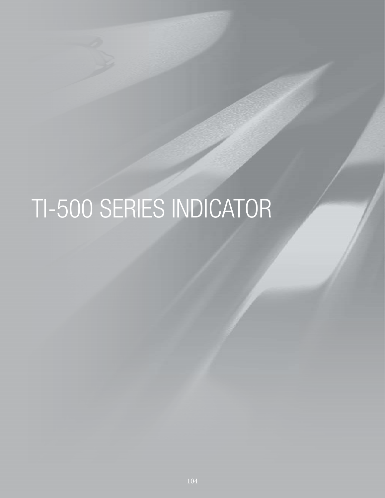# TI-500 SERIES INDICATOR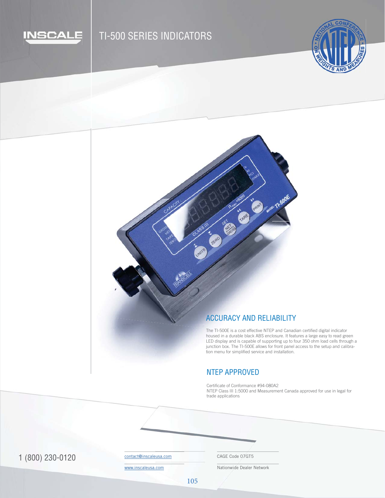

# TI-500 SERIES INDICATORS





#### ACCURACY AND RELIABILITY

The TI-500E is a cost effective NTEP and Canadian certified digital indicator housed in a durable black ABS enclosure. It features a large easy to read green LED display and is capable of supporting up to four 350 ohm load cells through a junction box. The TI-500E allows for front panel access to the setup and calibration menu for simplified service and installation.

## NTEP APPROVED

Certificate of Conformance #94-080A2 NTEP Class III 1:5000 and Measurement Canada approved for use in legal for trade applications

1 (800) 230-0120 Contact@inscaleusa.com CAGE Code 07GT5

contact@inscaleusa.com

www.inscaleusa.com

Nationwide Dealer Network

105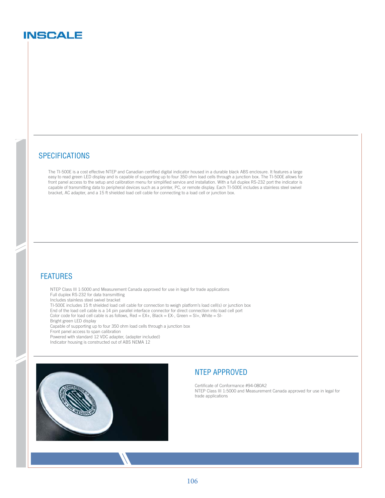## **INSCALE**

#### **SPECIFICATIONS**

The TI-500E is a cost effective NTEP and Canadian certified digital indicator housed in a durable black ABS enclosure. It features a large easy to read green LED display and is capable of supporting up to four 350 ohm load cells through a junction box. The TI-500E allows for front panel access to the setup and calibration menu for simplified service and installation. With a full duplex RS-232 port the indicator is capable of transmitting data to peripheral devices such as a printer, PC, or remote display. Each TI-500E includes a stainless steel swivel bracket, AC adapter, and a 15 ft shielded load cell cable for connecting to a load cell or junction box.

#### FEATURES

NTEP Class III 1:5000 and Measurement Canada approved for use in legal for trade applications Full duplex RS-232 for data transmitting Includes stainless steel swivel bracket TI-500E includes 15 ft shielded load cell cable for connection to weigh platform's load cell(s) or junction box

End of the load cell cable is a 14 pin parallel interface connector for direct connection into load cell port

Color code for load cell cable is as follows,  $Red = EX +$ ,  $Black = EX -$ ,  $Green = SI +$ ,  $White = SI -$ 

Bright green LED display

Capable of supporting up to four 350 ohm load cells through a junction box

Front panel access to span calibration

Powered with standard 12 VDC adapter, (adapter included)

Indicator housing is constructed out of ABS NEMA 12



### NTEP APPROVED

Certificate of Conformance #94-080A2 NTEP Class III 1:5000 and Measurement Canada approved for use in legal for trade applications